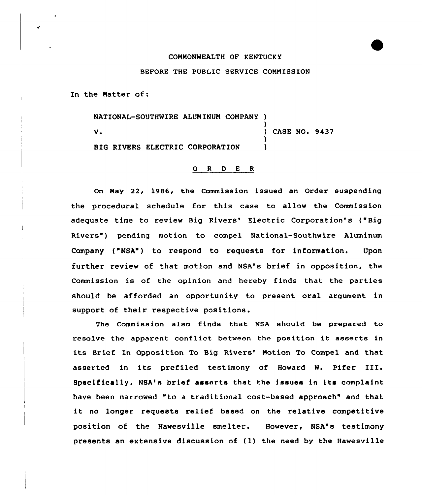## COMMONWEALTH OF KENTUCKY

## BEFORE THE PUBLIC SERVICE COMMISSION

In the Natter of:

NATIONAL-SOUTHWIRE ALUMINUM COMPANY )

V.

)<br>) CASE NO. 9437 )

BIG RIVERS ELECTRIC CORPORATION

## 0 <sup>R</sup> <sup>D</sup> <sup>E</sup> <sup>R</sup>

On Nay 22, 1986, the Commission issued an Order suspending the procedural schedule for this case to allow the Commission adequate time to review Big Rivers' Electric Corporation's ("Big Rivers") pending motion to compel National-Southwire Aluminum Company ("NSA") to respond to requests for information. Upon further review of that motion and NSA's brief in opposition, the Commission is of the opinion and hereby finds that the parties should be afforded an opportunity to present oral argument in support of their respective positions.

The Commission also finds that NSA should be prepared to resolve the apparent conflict between the position it asserts in its Brief In Opposition To Big Rivers' Motion To Compel and that asserted in its prefiled testimony of Howard W. Pifer III. Specifically, NSA's brief asserts that the issues in its complaint have been narrowed "to <sup>a</sup> traditional cost-based approach" and that it no longer requests relief based on the relative competitive position of the Hawesville smelter. However, NSA's testimony presents an extensive discussion of (1) the need by the Hawesville